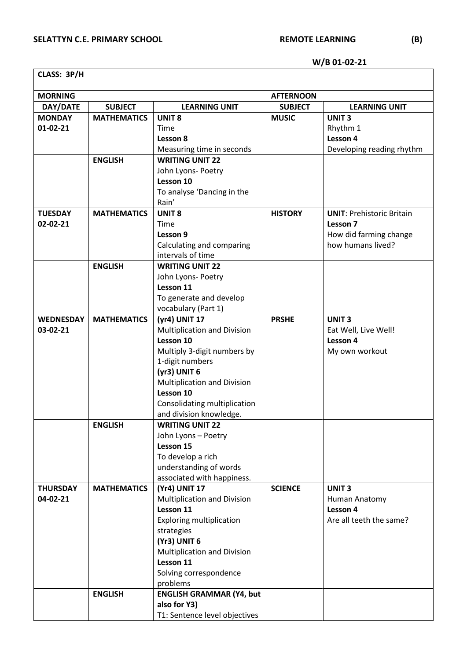ן

**W/B 01-02-21**

| CLASS: 3P/H      |                    |                                    |                  |                                     |  |
|------------------|--------------------|------------------------------------|------------------|-------------------------------------|--|
| <b>MORNING</b>   |                    |                                    | <b>AFTERNOON</b> |                                     |  |
| DAY/DATE         | <b>SUBJECT</b>     | <b>LEARNING UNIT</b>               | <b>SUBJECT</b>   | <b>LEARNING UNIT</b>                |  |
| <b>MONDAY</b>    | <b>MATHEMATICS</b> | <b>UNIT 8</b>                      | <b>MUSIC</b>     | <b>UNIT3</b>                        |  |
| $01-02-21$       |                    | Time                               |                  | Rhythm 1                            |  |
|                  |                    | Lesson 8                           |                  | Lesson 4                            |  |
|                  |                    | Measuring time in seconds          |                  | Developing reading rhythm           |  |
|                  | <b>ENGLISH</b>     | <b>WRITING UNIT 22</b>             |                  |                                     |  |
|                  |                    | John Lyons- Poetry                 |                  |                                     |  |
|                  |                    | Lesson 10                          |                  |                                     |  |
|                  |                    | To analyse 'Dancing in the         |                  |                                     |  |
|                  |                    | Rain'                              |                  |                                     |  |
| <b>TUESDAY</b>   | <b>MATHEMATICS</b> | <b>UNIT 8</b>                      | <b>HISTORY</b>   | <b>UNIT: Prehistoric Britain</b>    |  |
| 02-02-21         |                    | Time                               |                  | Lesson 7                            |  |
|                  |                    | Lesson 9                           |                  | How did farming change              |  |
|                  |                    | Calculating and comparing          |                  | how humans lived?                   |  |
|                  |                    | intervals of time                  |                  |                                     |  |
|                  | <b>ENGLISH</b>     | <b>WRITING UNIT 22</b>             |                  |                                     |  |
|                  |                    | John Lyons- Poetry<br>Lesson 11    |                  |                                     |  |
|                  |                    | To generate and develop            |                  |                                     |  |
|                  |                    | vocabulary (Part 1)                |                  |                                     |  |
| <b>WEDNESDAY</b> | <b>MATHEMATICS</b> | (yr4) UNIT 17                      | <b>PRSHE</b>     | <b>UNIT3</b>                        |  |
| 03-02-21         |                    | <b>Multiplication and Division</b> |                  | Eat Well, Live Well!                |  |
|                  |                    | Lesson 10                          |                  | Lesson 4                            |  |
|                  |                    | Multiply 3-digit numbers by        |                  | My own workout                      |  |
|                  |                    | 1-digit numbers                    |                  |                                     |  |
|                  |                    | (yr3) UNIT 6                       |                  |                                     |  |
|                  |                    | <b>Multiplication and Division</b> |                  |                                     |  |
|                  |                    | Lesson 10                          |                  |                                     |  |
|                  |                    | Consolidating multiplication       |                  |                                     |  |
|                  |                    | and division knowledge.            |                  |                                     |  |
|                  | <b>ENGLISH</b>     | <b>WRITING UNIT 22</b>             |                  |                                     |  |
|                  |                    | John Lyons - Poetry                |                  |                                     |  |
|                  |                    | Lesson 15                          |                  |                                     |  |
|                  |                    | To develop a rich                  |                  |                                     |  |
|                  |                    | understanding of words             |                  |                                     |  |
|                  |                    | associated with happiness.         |                  |                                     |  |
| <b>THURSDAY</b>  | <b>MATHEMATICS</b> | (Yr4) UNIT 17                      | <b>SCIENCE</b>   | <b>UNIT3</b>                        |  |
| 04-02-21         |                    | <b>Multiplication and Division</b> |                  | Human Anatomy                       |  |
|                  |                    | Lesson 11                          |                  | Lesson 4<br>Are all teeth the same? |  |
|                  |                    | <b>Exploring multiplication</b>    |                  |                                     |  |
|                  |                    | strategies<br>(Yr3) UNIT 6         |                  |                                     |  |
|                  |                    | <b>Multiplication and Division</b> |                  |                                     |  |
|                  |                    | Lesson 11                          |                  |                                     |  |
|                  |                    | Solving correspondence             |                  |                                     |  |
|                  |                    | problems                           |                  |                                     |  |
|                  | <b>ENGLISH</b>     | <b>ENGLISH GRAMMAR (Y4, but</b>    |                  |                                     |  |
|                  |                    | also for Y3)                       |                  |                                     |  |
|                  |                    | T1: Sentence level objectives      |                  |                                     |  |